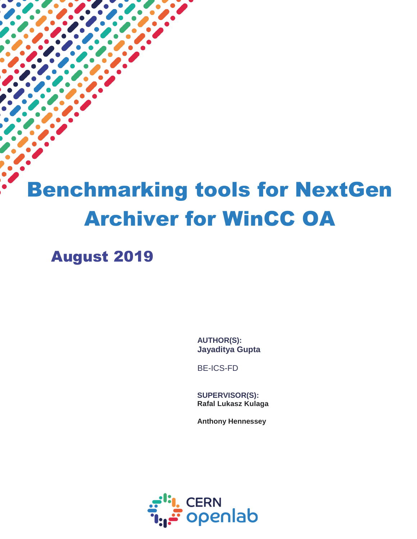# Benchmarking tools for NextGen Archiver for WinCC OA

August 2019

 $\overline{a}$ 

**AUTHOR(S): Jayaditya Gupta**

BE-ICS-FD

**SUPERVISOR(S): Rafal Lukasz Kulaga**

**Anthony Hennessey**

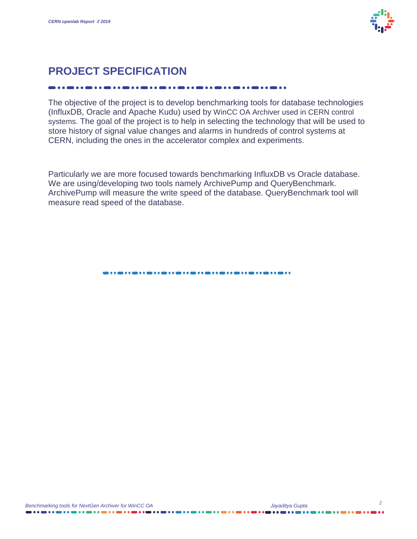

# **PROJECT SPECIFICATION**

The objective of the project is to develop benchmarking tools for database technologies (InfluxDB, Oracle and Apache Kudu) used by WinCC OA Archiver used in CERN control systems. The goal of the project is to help in selecting the technology that will be used to store history of signal value changes and alarms in hundreds of control systems at CERN, including the ones in the accelerator complex and experiments.

Particularly we are more focused towards benchmarking InfluxDB vs Oracle database. We are using/developing two tools namely ArchivePump and QueryBenchmark. ArchivePump will measure the write speed of the database. QueryBenchmark tool will measure read speed of the database.

.....................................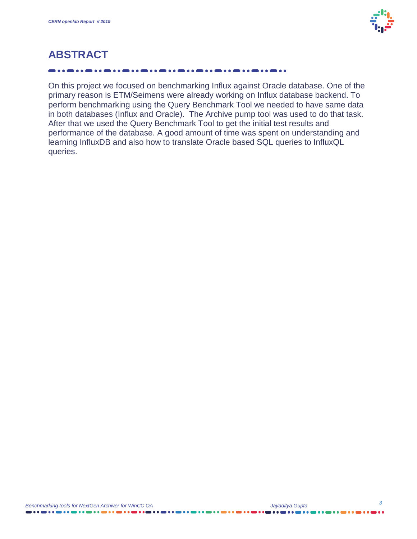

# **ABSTRACT**

On this project we focused on benchmarking Influx against Oracle database. One of the primary reason is ETM/Seimens were already working on Influx database backend. To perform benchmarking using the Query Benchmark Tool we needed to have same data in both databases (Influx and Oracle). The Archive pump tool was used to do that task. After that we used the Query Benchmark Tool to get the initial test results and performance of the database. A good amount of time was spent on understanding and learning InfluxDB and also how to translate Oracle based SQL queries to InfluxQL queries.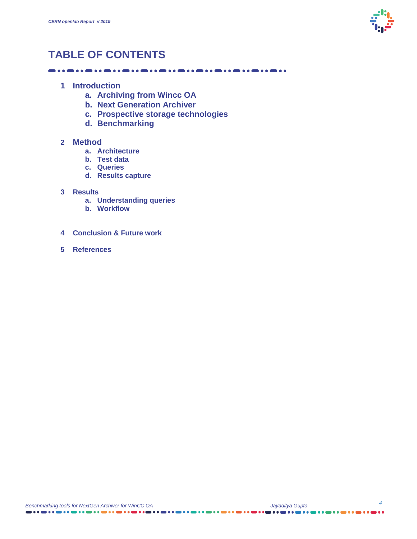

# **TABLE OF CONTENTS**

- **1 Introduction** 
	- **a. Archiving from Wincc OA**
	- **b. Next Generation Archiver**
	- **c. Prospective storage technologies**
	- **d. Benchmarking**

#### **2 Method**

- **a. Architecture**
- **b. Test data**
- **c. Queries**
- **d. Results capture**

#### **3 Results**

- **a. Understanding queries**
- **b. Workflow**
- **4 Conclusion & Future work**
- **5 References**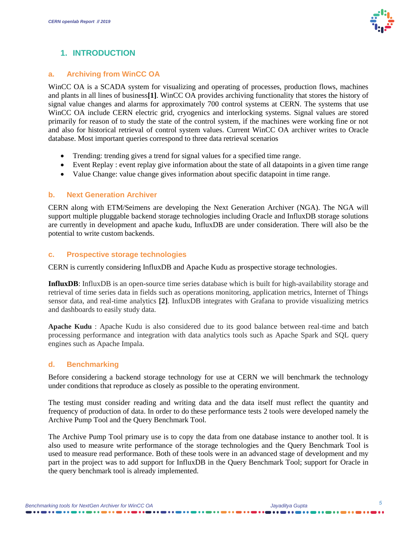

#### **1. INTRODUCTION**

#### **a. Archiving from WinCC OA**

WinCC OA is a SCADA system for visualizing and operating of processes, production flows, machines and plants in all lines of business**[1]**. WinCC OA provides archiving functionality that stores the history of signal value changes and alarms for approximately 700 control systems at CERN. The systems that use WinCC OA include CERN electric grid, cryogenics and interlocking systems. Signal values are stored primarily for reason of to study the state of the control system, if the machines were working fine or not and also for historical retrieval of control system values. Current WinCC OA archiver writes to Oracle database. Most important queries correspond to three data retrieval scenarios

- Trending: trending gives a trend for signal values for a specified time range.
- Event Replay : event replay give information about the state of all datapoints in a given time range
- Value Change: value change gives information about specific datapoint in time range.

#### **b. Next Generation Archiver**

CERN along with ETM/Seimens are developing the Next Generation Archiver (NGA). The NGA will support multiple pluggable backend storage technologies including Oracle and InfluxDB storage solutions are currently in development and apache kudu, InfluxDB are under consideration. There will also be the potential to write custom backends.

#### **c. Prospective storage technologies**

CERN is currently considering InfluxDB and Apache Kudu as prospective storage technologies.

**InfluxDB**: InfluxDB is an open-source time series database which is built for high-availability storage and retrieval of time series data in fields such as operations monitoring, application metrics, Internet of Things sensor data, and real-time analytics **[2]**. InfluxDB integrates with Grafana to provide visualizing metrics and dashboards to easily study data.

**Apache Kudu** : Apache Kudu is also considered due to its good balance between real-time and batch processing performance and integration with data analytics tools such as Apache Spark and SQL query engines such as Apache Impala.

#### **d. Benchmarking**

Before considering a backend storage technology for use at CERN we will benchmark the technology under conditions that reproduce as closely as possible to the operating environment.

The testing must consider reading and writing data and the data itself must reflect the quantity and frequency of production of data. In order to do these performance tests 2 tools were developed namely the Archive Pump Tool and the Query Benchmark Tool.

The Archive Pump Tool primary use is to copy the data from one database instance to another tool. It is also used to measure write performance of the storage technologies and the Query Benchmark Tool is used to measure read performance. Both of these tools were in an advanced stage of development and my part in the project was to add support for InfluxDB in the Query Benchmark Tool; support for Oracle in the query benchmark tool is already implemented.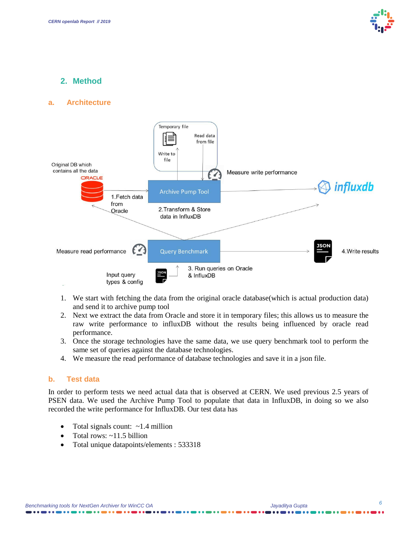

#### **2. Method**

#### **a. Architecture**



- 1. We start with fetching the data from the original oracle database(which is actual production data) and send it to archive pump tool
- 2. Next we extract the data from Oracle and store it in temporary files; this allows us to measure the raw write performance to influxDB without the results being influenced by oracle read performance.
- 3. Once the storage technologies have the same data, we use query benchmark tool to perform the same set of queries against the database technologies.
- 4. We measure the read performance of database technologies and save it in a json file.

#### **b. Test data**

In order to perform tests we need actual data that is observed at CERN. We used previous 2.5 years of PSEN data. We used the Archive Pump Tool to populate that data in InfluxDB, in doing so we also recorded the write performance for InfluxDB. Our test data has

- Total signals count:  $\sim$ 1.4 million
- Total rows:  $\sim$ 11.5 billion
- Total unique datapoints/elements : 533318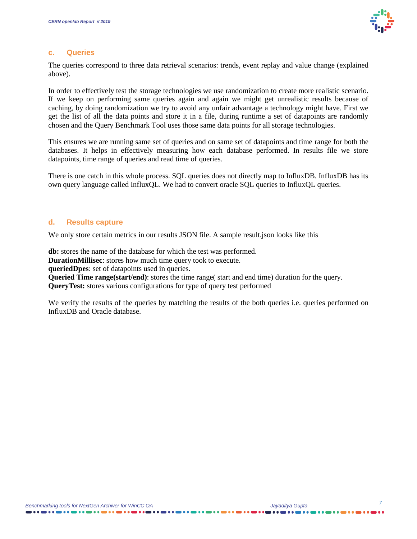

#### **c. Queries**

The queries correspond to three data retrieval scenarios: trends, event replay and value change (explained above).

In order to effectively test the storage technologies we use randomization to create more realistic scenario. If we keep on performing same queries again and again we might get unrealistic results because of caching, by doing randomization we try to avoid any unfair advantage a technology might have. First we get the list of all the data points and store it in a file, during runtime a set of datapoints are randomly chosen and the Query Benchmark Tool uses those same data points for all storage technologies.

This ensures we are running same set of queries and on same set of datapoints and time range for both the databases. It helps in effectively measuring how each database performed. In results file we store datapoints, time range of queries and read time of queries.

There is one catch in this whole process. SQL queries does not directly map to InfluxDB. InfluxDB has its own query language called InfluxQL. We had to convert oracle SQL queries to InfluxQL queries.

#### **d. Results capture**

We only store certain metrics in our results JSON file. A sample result json looks like this

**db:** stores the name of the database for which the test was performed. **DurationMillisec**: stores how much time query took to execute.

**queriedDpes**: set of datapoints used in queries.

**Queried Time range(start/end)**: stores the time range( start and end time) duration for the query. **QueryTest:** stores various configurations for type of query test performed

We verify the results of the queries by matching the results of the both queries i.e. queries performed on InfluxDB and Oracle database.